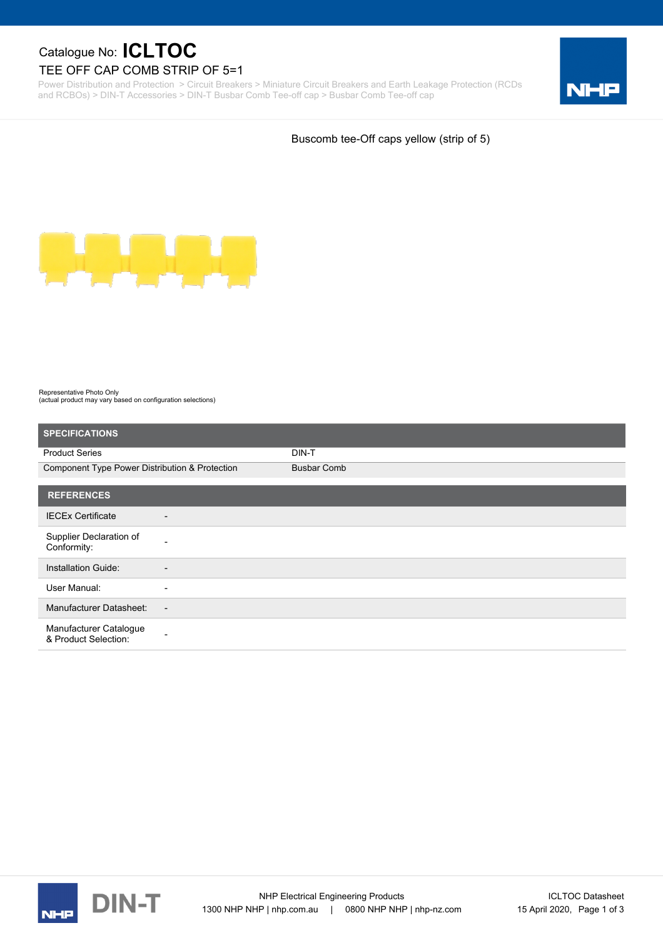## Catalogue No: **ICLTOC**

#### TEE OFF CAP COMB STRIP OF 5=1

Power Distribution and Protection > Circuit Breakers > Miniature Circuit Breakers and Earth Leakage Protection (RCDs and RCBOs) > DIN-T Accessories > DIN-T Busbar Comb Tee-off cap > Busbar Comb Tee-off cap



Buscomb tee-Off caps yellow (strip of 5)



Representative Photo Only (actual product may vary based on configuration selections)

| <b>SPECIFICATIONS</b>                          |                          |                    |
|------------------------------------------------|--------------------------|--------------------|
| <b>Product Series</b>                          |                          | DIN-T              |
| Component Type Power Distribution & Protection |                          | <b>Busbar Comb</b> |
| <b>REFERENCES</b>                              |                          |                    |
| <b>IECEx Certificate</b>                       | $\overline{\phantom{a}}$ |                    |
| Supplier Declaration of<br>Conformity:         | ۰                        |                    |
| Installation Guide:                            | $\overline{\phantom{a}}$ |                    |
| User Manual:                                   | ٠                        |                    |
| <b>Manufacturer Datasheet:</b>                 | $\overline{\phantom{a}}$ |                    |
| Manufacturer Catalogue<br>& Product Selection: |                          |                    |



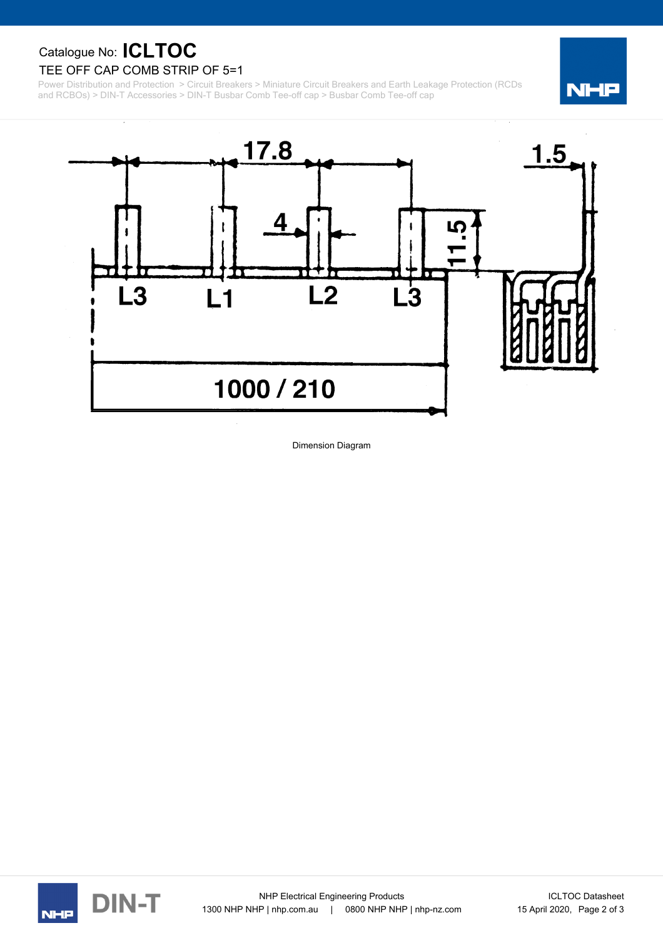Catalogue No: **ICLTOC**

#### TEE OFF CAP COMB STRIP OF 5=1

Power Distribution and Protection > Circuit Breakers > Miniature Circuit Breakers and Earth Leakage Protection (RCDs and RCBOs) > DIN-T Accessories > DIN-T Busbar Comb Tee-off cap > Busbar Comb Tee-off cap





Dimension Diagram